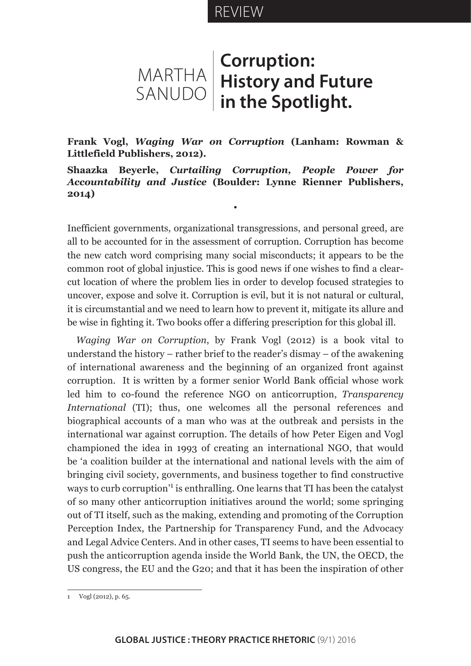# REVIEW

# MARTHA SANUDO **Corruption: History and Future in the Spotlight.**

**Frank Vogl,** *Waging War on Corruption* **(Lanham: Rowman & Littlefield Publishers, 2012).**

# **Shaazka Beyerle,** *Curtailing Corruption, People Power for Accountability and Justice* **(Boulder: Lynne Rienner Publishers, 2014)**

•

Inefficient governments, organizational transgressions, and personal greed, are all to be accounted for in the assessment of corruption. Corruption has become the new catch word comprising many social misconducts; it appears to be the common root of global injustice. This is good news if one wishes to find a clearcut location of where the problem lies in order to develop focused strategies to uncover, expose and solve it. Corruption is evil, but it is not natural or cultural, it is circumstantial and we need to learn how to prevent it, mitigate its allure and be wise in fighting it. Two books offer a differing prescription for this global ill.

*Waging War on Corruption*, by Frank Vogl (2012) is a book vital to understand the history – rather brief to the reader's dismay – of the awakening of international awareness and the beginning of an organized front against corruption. It is written by a former senior World Bank official whose work led him to co-found the reference NGO on anticorruption, *Transparency International* (TI); thus, one welcomes all the personal references and biographical accounts of a man who was at the outbreak and persists in the international war against corruption. The details of how Peter Eigen and Vogl championed the idea in 1993 of creating an international NGO, that would be 'a coalition builder at the international and national levels with the aim of bringing civil society, governments, and business together to find constructive ways to curb corruption<sup>1</sup> is enthralling. One learns that TI has been the catalyst of so many other anticorruption initiatives around the world; some springing out of TI itself, such as the making, extending and promoting of the Corruption Perception Index, the Partnership for Transparency Fund, and the Advocacy and Legal Advice Centers. And in other cases, TI seems to have been essential to push the anticorruption agenda inside the World Bank, the UN, the OECD, the US congress, the EU and the G20; and that it has been the inspiration of other

<sup>1</sup> Vogl (2012), p. 65.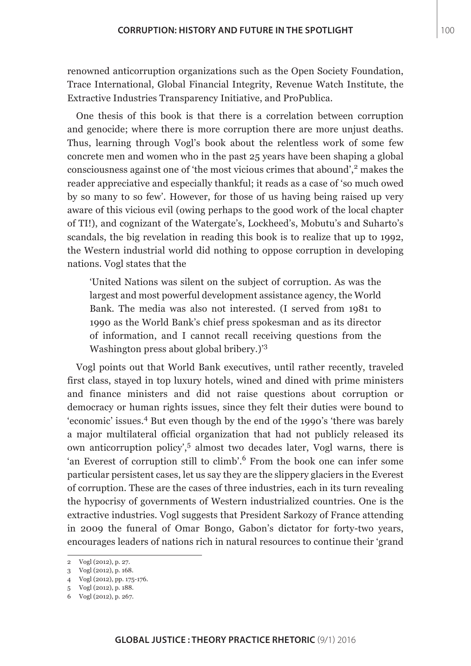renowned anticorruption organizations such as the Open Society Foundation, Trace International, Global Financial Integrity, Revenue Watch Institute, the Extractive Industries Transparency Initiative, and ProPublica.

One thesis of this book is that there is a correlation between corruption and genocide; where there is more corruption there are more unjust deaths. Thus, learning through Vogl's book about the relentless work of some few concrete men and women who in the past 25 years have been shaping a global consciousness against one of 'the most vicious crimes that abound',<sup>2</sup> makes the reader appreciative and especially thankful; it reads as a case of 'so much owed by so many to so few'. However, for those of us having being raised up very aware of this vicious evil (owing perhaps to the good work of the local chapter of TI!), and cognizant of the Watergate's, Lockheed's, Mobutu's and Suharto's scandals, the big revelation in reading this book is to realize that up to 1992, the Western industrial world did nothing to oppose corruption in developing nations. Vogl states that the

'United Nations was silent on the subject of corruption. As was the largest and most powerful development assistance agency, the World Bank. The media was also not interested. (I served from 1981 to 1990 as the World Bank's chief press spokesman and as its director of information, and I cannot recall receiving questions from the Washington press about global bribery.)'<sup>3</sup>

Vogl points out that World Bank executives, until rather recently, traveled first class, stayed in top luxury hotels, wined and dined with prime ministers and finance ministers and did not raise questions about corruption or democracy or human rights issues, since they felt their duties were bound to 'economic' issues.4 But even though by the end of the 1990's 'there was barely a major multilateral official organization that had not publicly released its own anticorruption policy',<sup>5</sup> almost two decades later, Vogl warns, there is 'an Everest of corruption still to climb'.6 From the book one can infer some particular persistent cases, let us say they are the slippery glaciers in the Everest of corruption. These are the cases of three industries, each in its turn revealing the hypocrisy of governments of Western industrialized countries. One is the extractive industries. Vogl suggests that President Sarkozy of France attending in 2009 the funeral of Omar Bongo, Gabon's dictator for forty-two years, encourages leaders of nations rich in natural resources to continue their 'grand

<sup>2</sup> Vogl (2012), p. 27.

<sup>3</sup> Vogl (2012), p. 168.

<sup>4</sup> Vogl (2012), pp. 175-176.

<sup>5</sup> Vogl (2012), p. 188.

<sup>6</sup> Vogl (2012), p. 267.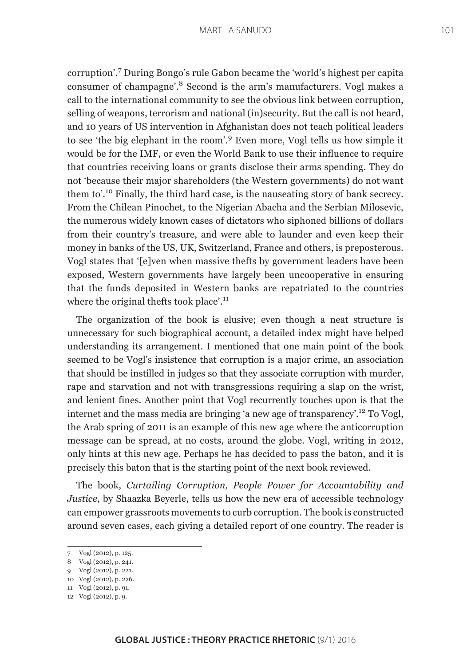#### MARTHA SANUDO

corruption'.<sup>7</sup> During Bongo's rule Gabon became the 'world's highest per capita consumer of champagne'.8 Second is the arm's manufacturers. Vogl makes a call to the international community to see the obvious link between corruption, selling of weapons, terrorism and national (in)security. But the call is not heard, and 10 years of US intervention in Afghanistan does not teach political leaders to see 'the big elephant in the room'.9 Even more, Vogl tells us how simple it would be for the IMF, or even the World Bank to use their influence to require that countries receiving loans or grants disclose their arms spending. They do not 'because their major shareholders (the Western governments) do not want them to'.10 Finally, the third hard case, is the nauseating story of bank secrecy. From the Chilean Pinochet, to the Nigerian Abacha and the Serbian Milosevic, the numerous widely known cases of dictators who siphoned billions of dollars from their country's treasure, and were able to launder and even keep their money in banks of the US, UK, Switzerland, France and others, is preposterous. Vogl states that '[e]ven when massive thefts by government leaders have been exposed, Western governments have largely been uncooperative in ensuring that the funds deposited in Western banks are repatriated to the countries where the original thefts took place'.<sup>11</sup>

The organization of the book is elusive; even though a neat structure is unnecessary for such biographical account, a detailed index might have helped understanding its arrangement. I mentioned that one main point of the book seemed to be Vogl's insistence that corruption is a major crime, an association that should be instilled in judges so that they associate corruption with murder, rape and starvation and not with transgressions requiring a slap on the wrist, and lenient fines. Another point that Vogl recurrently touches upon is that the internet and the mass media are bringing 'a new age of transparency'.<sup>12</sup> To Vogl, the Arab spring of 2011 is an example of this new age where the anticorruption message can be spread, at no costs, around the globe. Vogl, writing in 2012, only hints at this new age. Perhaps he has decided to pass the baton, and it is precisely this baton that is the starting point of the next book reviewed.

The book, *Curtailing Corruption, People Power for Accountability and Justice*, by Shaazka Beyerle, tells us how the new era of accessible technology can empower grassroots movements to curb corruption. The book is constructed around seven cases, each giving a detailed report of one country. The reader is

<sup>7</sup> Vogl (2012), p. 125.

<sup>8</sup> Vogl (2012), p. 241.

<sup>9</sup> Vogl (2012), p. 221.

<sup>10</sup> Vogl (2012), p. 226.

<sup>11</sup> Vogl (2012), p. 91.

<sup>12</sup> Vogl (2012), p. 9.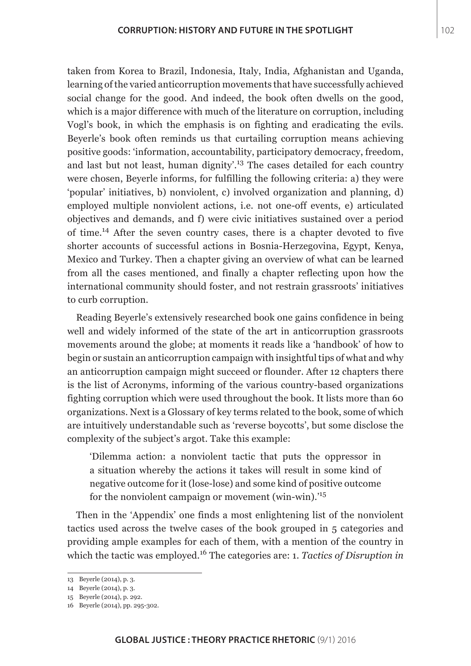taken from Korea to Brazil, Indonesia, Italy, India, Afghanistan and Uganda, learning of the varied anticorruption movements that have successfully achieved social change for the good. And indeed, the book often dwells on the good, which is a major difference with much of the literature on corruption, including Vogl's book, in which the emphasis is on fighting and eradicating the evils. Beyerle's book often reminds us that curtailing corruption means achieving positive goods: 'information, accountability, participatory democracy, freedom, and last but not least, human dignity'.<sup>13</sup> The cases detailed for each country were chosen, Beyerle informs, for fulfilling the following criteria: a) they were 'popular' initiatives, b) nonviolent, c) involved organization and planning, d) employed multiple nonviolent actions, i.e. not one-off events, e) articulated objectives and demands, and f) were civic initiatives sustained over a period of time.14 After the seven country cases, there is a chapter devoted to five shorter accounts of successful actions in Bosnia-Herzegovina, Egypt, Kenya, Mexico and Turkey. Then a chapter giving an overview of what can be learned from all the cases mentioned, and finally a chapter reflecting upon how the international community should foster, and not restrain grassroots' initiatives to curb corruption.

Reading Beyerle's extensively researched book one gains confidence in being well and widely informed of the state of the art in anticorruption grassroots movements around the globe; at moments it reads like a 'handbook' of how to begin or sustain an anticorruption campaign with insightful tips of what and why an anticorruption campaign might succeed or flounder. After 12 chapters there is the list of Acronyms, informing of the various country-based organizations fighting corruption which were used throughout the book. It lists more than 60 organizations. Next is a Glossary of key terms related to the book, some of which are intuitively understandable such as 'reverse boycotts', but some disclose the complexity of the subject's argot. Take this example:

'Dilemma action: a nonviolent tactic that puts the oppressor in a situation whereby the actions it takes will result in some kind of negative outcome for it (lose-lose) and some kind of positive outcome for the nonviolent campaign or movement (win-win).'<sup>15</sup>

Then in the 'Appendix' one finds a most enlightening list of the nonviolent tactics used across the twelve cases of the book grouped in 5 categories and providing ample examples for each of them, with a mention of the country in which the tactic was employed.<sup>16</sup> The categories are: 1. *Tactics of Disruption in* 

<sup>13</sup> Beyerle (2014), p. 3.

<sup>14</sup> Beyerle (2014), p. 3.

<sup>15</sup> Beyerle (2014), p. 292.

<sup>16</sup> Beyerle (2014), pp. 295-302.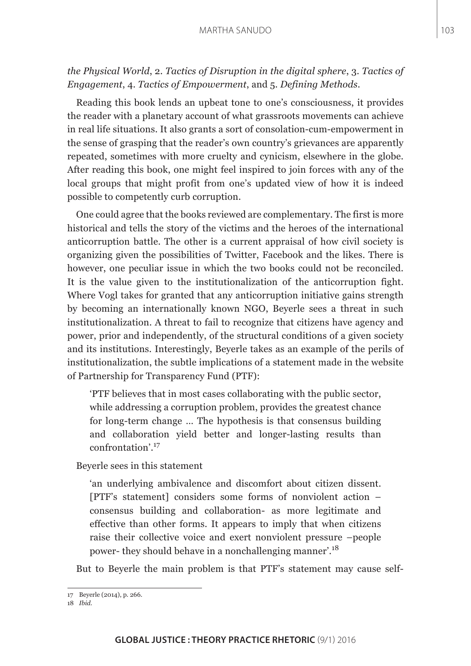# *the Physical World*, 2. *Tactics of Disruption in the digital sphere*, 3. *Tactics of Engagement*, 4. *Tactics of Empowerment*, and 5. *Defining Methods*.

Reading this book lends an upbeat tone to one's consciousness, it provides the reader with a planetary account of what grassroots movements can achieve in real life situations. It also grants a sort of consolation-cum-empowerment in the sense of grasping that the reader's own country's grievances are apparently repeated, sometimes with more cruelty and cynicism, elsewhere in the globe. After reading this book, one might feel inspired to join forces with any of the local groups that might profit from one's updated view of how it is indeed possible to competently curb corruption.

One could agree that the books reviewed are complementary. The first is more historical and tells the story of the victims and the heroes of the international anticorruption battle. The other is a current appraisal of how civil society is organizing given the possibilities of Twitter, Facebook and the likes. There is however, one peculiar issue in which the two books could not be reconciled. It is the value given to the institutionalization of the anticorruption fight. Where Vogl takes for granted that any anticorruption initiative gains strength by becoming an internationally known NGO, Beyerle sees a threat in such institutionalization. A threat to fail to recognize that citizens have agency and power, prior and independently, of the structural conditions of a given society and its institutions. Interestingly, Beyerle takes as an example of the perils of institutionalization, the subtle implications of a statement made in the website of Partnership for Transparency Fund (PTF):

'PTF believes that in most cases collaborating with the public sector, while addressing a corruption problem, provides the greatest chance for long-term change … The hypothesis is that consensus building and collaboration yield better and longer-lasting results than confrontation'.<sup>17</sup>

Beyerle sees in this statement

'an underlying ambivalence and discomfort about citizen dissent. [PTF's statement] considers some forms of nonviolent action – consensus building and collaboration- as more legitimate and effective than other forms. It appears to imply that when citizens raise their collective voice and exert nonviolent pressure –people power- they should behave in a nonchallenging manner'.<sup>18</sup>

But to Beyerle the main problem is that PTF's statement may cause self-

<sup>17</sup> Beyerle (2014), p. 266.

<sup>18</sup> *Ibid*.